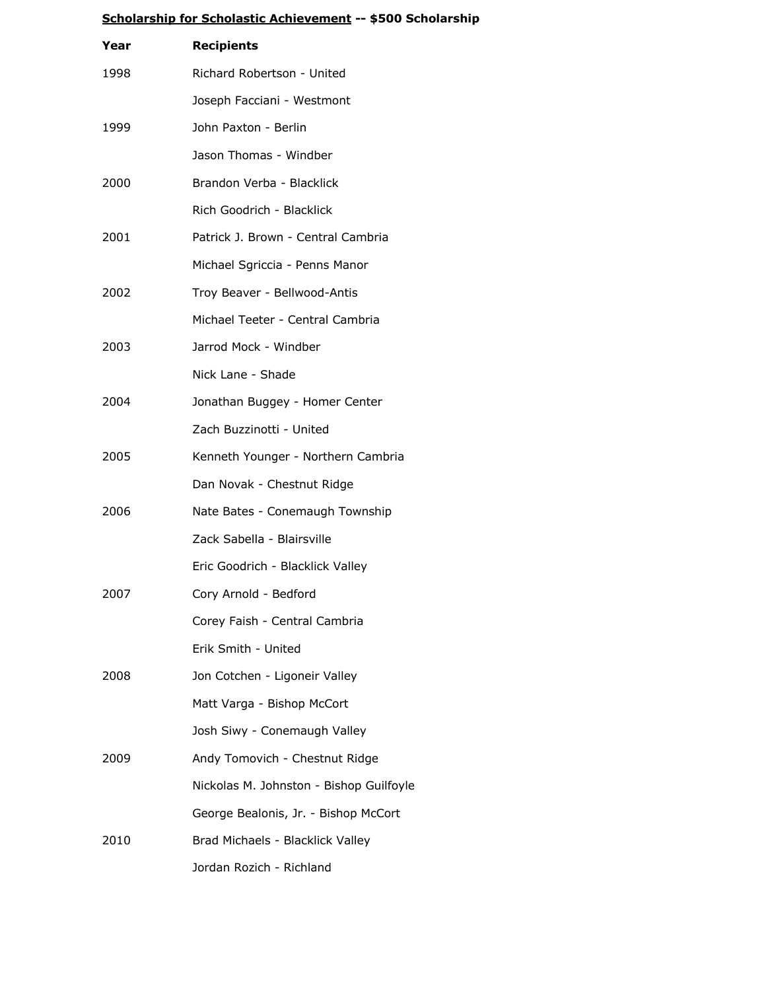|      | <u></u>                                 |
|------|-----------------------------------------|
| Year | <b>Recipients</b>                       |
| 1998 | Richard Robertson - United              |
|      | Joseph Facciani - Westmont              |
| 1999 | John Paxton - Berlin                    |
|      | Jason Thomas - Windber                  |
| 2000 | Brandon Verba - Blacklick               |
|      | Rich Goodrich - Blacklick               |
| 2001 | Patrick J. Brown - Central Cambria      |
|      | Michael Sgriccia - Penns Manor          |
| 2002 | Troy Beaver - Bellwood-Antis            |
|      | Michael Teeter - Central Cambria        |
| 2003 | Jarrod Mock - Windber                   |
|      | Nick Lane - Shade                       |
| 2004 | Jonathan Buggey - Homer Center          |
|      | Zach Buzzinotti - United                |
| 2005 | Kenneth Younger - Northern Cambria      |
|      | Dan Novak - Chestnut Ridge              |
| 2006 | Nate Bates - Conemaugh Township         |
|      | Zack Sabella - Blairsville              |
|      | Eric Goodrich - Blacklick Valley        |
| 2007 | Cory Arnold - Bedford                   |
|      | Corey Faish - Central Cambria           |
|      | Erik Smith - United                     |
| 2008 | Jon Cotchen - Ligoneir Valley           |
|      | Matt Varga - Bishop McCort              |
|      | Josh Siwy - Conemaugh Valley            |
| 2009 | Andy Tomovich - Chestnut Ridge          |
|      | Nickolas M. Johnston - Bishop Guilfoyle |
|      | George Bealonis, Jr. - Bishop McCort    |
| 2010 | Brad Michaels - Blacklick Valley        |
|      | Jordan Rozich - Richland                |

## **Scholarship for Scholastic Achievement -- \$500 Scholarship**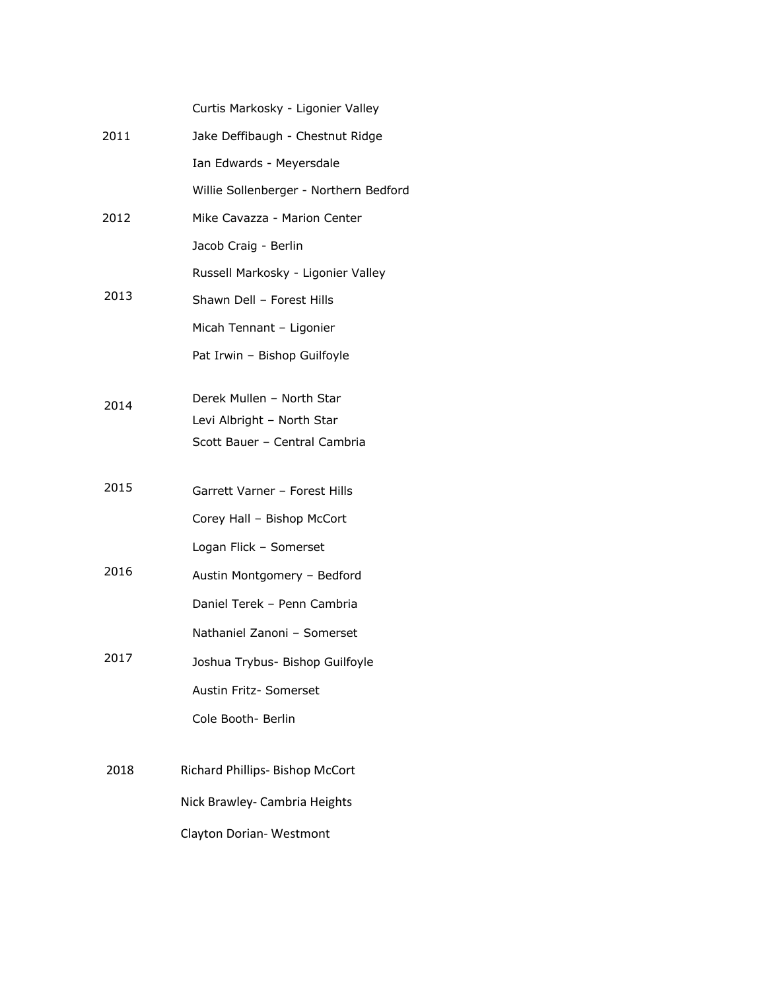|      | Curtis Markosky - Ligonier Valley                       |
|------|---------------------------------------------------------|
| 2011 | Jake Deffibaugh - Chestnut Ridge                        |
|      | Ian Edwards - Meyersdale                                |
|      | Willie Sollenberger - Northern Bedford                  |
| 2012 | Mike Cavazza - Marion Center                            |
|      | Jacob Craig - Berlin                                    |
|      | Russell Markosky - Ligonier Valley                      |
| 2013 | Shawn Dell - Forest Hills                               |
|      | Micah Tennant - Ligonier                                |
|      | Pat Irwin - Bishop Guilfoyle                            |
|      |                                                         |
| 2014 | Derek Mullen - North Star<br>Levi Albright - North Star |
|      | Scott Bauer - Central Cambria                           |
|      |                                                         |
| 2015 | Garrett Varner - Forest Hills                           |
|      | Corey Hall - Bishop McCort                              |
|      | Logan Flick - Somerset                                  |
| 2016 | Austin Montgomery - Bedford                             |
|      | Daniel Terek - Penn Cambria                             |
|      | Nathaniel Zanoni - Somerset                             |
| 2017 | Joshua Trybus- Bishop Guilfoyle                         |
|      | Austin Fritz- Somerset                                  |
|      | Cole Booth- Berlin                                      |
|      |                                                         |
| 2018 | Richard Phillips- Bishop McCort                         |
|      | Nick Brawley- Cambria Heights                           |
|      | Clayton Dorian-Westmont                                 |
|      |                                                         |